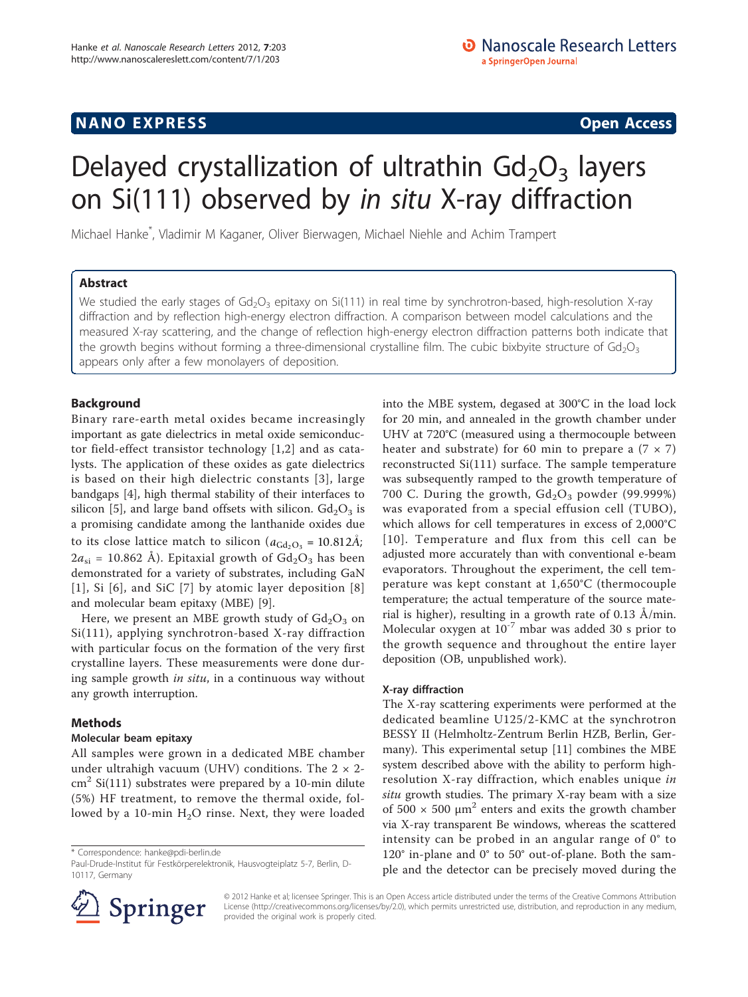# **NANO EXPRESS** Open Access and the set of the set of the set of the set of the set of the set of the set of the set of the set of the set of the set of the set of the set of the set of the set of the set of the set of the

# Delayed crystallization of ultrathin  $Gd_2O_3$  layers on Si(111) observed by in situ X-ray diffraction

Michael Hanke\* , Vladimir M Kaganer, Oliver Bierwagen, Michael Niehle and Achim Trampert

# Abstract

We studied the early stages of  $Gd_2O_3$  epitaxy on Si(111) in real time by synchrotron-based, high-resolution X-ray diffraction and by reflection high-energy electron diffraction. A comparison between model calculations and the measured X-ray scattering, and the change of reflection high-energy electron diffraction patterns both indicate that the growth begins without forming a three-dimensional crystalline film. The cubic bixbyite structure of  $Gd_2O_3$ appears only after a few monolayers of deposition.

# Background

Binary rare-earth metal oxides became increasingly important as gate dielectrics in metal oxide semiconductor field-effect transistor technology [\[1](#page-5-0),[2\]](#page-5-0) and as catalysts. The application of these oxides as gate dielectrics is based on their high dielectric constants [[3](#page-5-0)], large bandgaps [\[4](#page-5-0)], high thermal stability of their interfaces to silicon [\[5\]](#page-5-0), and large band offsets with silicon.  $Gd<sub>2</sub>O<sub>3</sub>$  is a promising candidate among the lanthanide oxides due to its close lattice match to silicon ( $a_{\text{Gd}_2\text{O}_3}$  = 10.812Å;  $2a_{si}$  = 10.862 Å). Epitaxial growth of  $Gd_2O_3$  has been demonstrated for a variety of substrates, including GaN [[1](#page-5-0)], Si [[6](#page-5-0)], and SiC [[7](#page-5-0)] by atomic layer deposition [[8](#page-5-0)] and molecular beam epitaxy (MBE) [[9\]](#page-5-0).

Here, we present an MBE growth study of  $Gd_2O_3$  on Si(111), applying synchrotron-based X-ray diffraction with particular focus on the formation of the very first crystalline layers. These measurements were done during sample growth in situ, in a continuous way without any growth interruption.

# Methods

# Molecular beam epitaxy

All samples were grown in a dedicated MBE chamber under ultrahigh vacuum (UHV) conditions. The  $2 \times 2$ - $\text{cm}^2$  Si(111) substrates were prepared by a 10-min dilute (5%) HF treatment, to remove the thermal oxide, followed by a 10-min  $H_2O$  rinse. Next, they were loaded



# X-ray diffraction

The X-ray scattering experiments were performed at the dedicated beamline U125/2-KMC at the synchrotron BESSY II (Helmholtz-Zentrum Berlin HZB, Berlin, Germany). This experimental setup [[11\]](#page-5-0) combines the MBE system described above with the ability to perform highresolution X-ray diffraction, which enables unique in situ growth studies. The primary X-ray beam with a size of 500  $\times$  500 μm<sup>2</sup> enters and exits the growth chamber via X-ray transparent Be windows, whereas the scattered intensity can be probed in an angular range of 0° to 120° in-plane and 0° to 50° out-of-plane. Both the sample and the detector can be precisely moved during the



© 2012 Hanke et al; licensee Springer. This is an Open Access article distributed under the terms of the Creative Commons Attribution License [\(http://creativecommons.org/licenses/by/2.0](http://creativecommons.org/licenses/by/2.0)), which permits unrestricted use, distribution, and reproduction in any medium, provided the original work is properly cited.

<sup>\*</sup> Correspondence: [hanke@pdi-berlin.de](mailto:hanke@pdi-berlin.de)

Paul-Drude-Institut für Festkörperelektronik, Hausvogteiplatz 5-7, Berlin, D-10117, Germany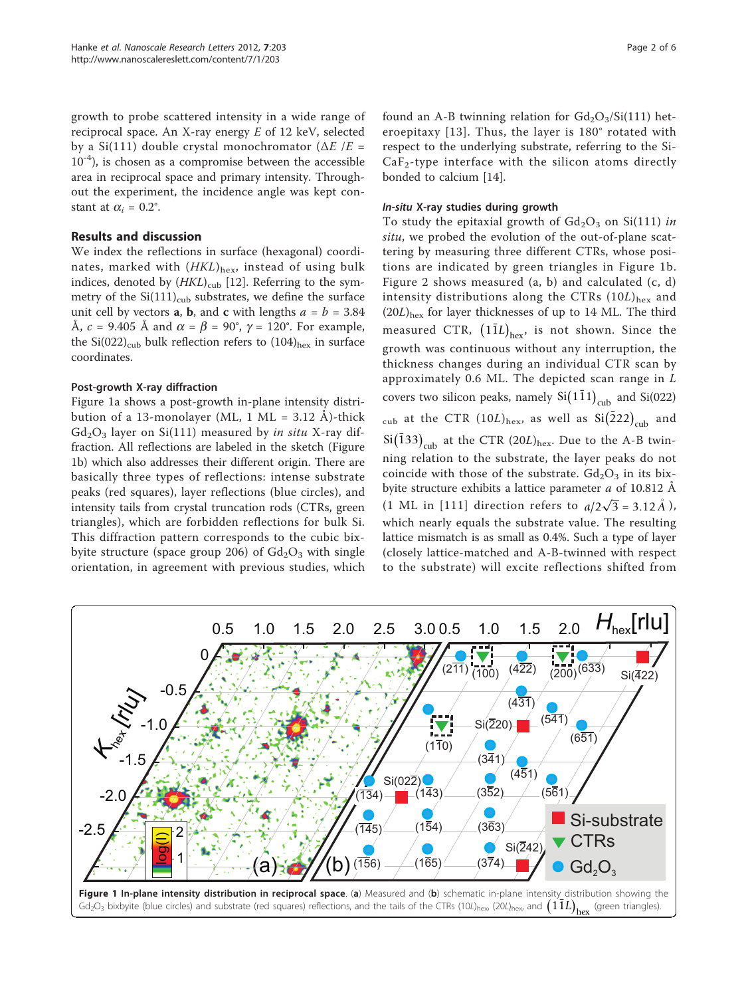growth to probe scattered intensity in a wide range of reciprocal space. An X-ray energy  $E$  of 12 keV, selected by a Si(111) double crystal monochromator ( $\Delta E$  /E =  $10^{-4}$ ), is chosen as a compromise between the accessible area in reciprocal space and primary intensity. Throughout the experiment, the incidence angle was kept constant at  $\alpha_i = 0.2^{\circ}$ .

#### Results and discussion

We index the reflections in surface (hexagonal) coordinates, marked with  $(HKL)_{hex}$ , instead of using bulk indices, denoted by  $(HKL)_{\text{cub}}$  [[12\]](#page-5-0). Referring to the symmetry of the  $Si(111)_{\text{cub}}$  substrates, we define the surface unit cell by vectors **a**, **b**, and **c** with lengths  $a = b = 3.84$ Å,  $c = 9.405$  Å and  $\alpha = \beta = 90^{\circ}$ ,  $\gamma = 120^{\circ}$ . For example, the Si(022)<sub>cub</sub> bulk reflection refers to  $(104)_{\text{hex}}$  in surface coordinates.

#### Post-growth X-ray diffraction

Figure 1a shows a post-growth in-plane intensity distribution of a 13-monolayer (ML, 1 ML =  $3.12 \text{ Å}$ )-thick  $Gd<sub>2</sub>O<sub>3</sub>$  layer on Si(111) measured by in situ X-ray diffraction. All reflections are labeled in the sketch (Figure 1b) which also addresses their different origin. There are basically three types of reflections: intense substrate peaks (red squares), layer reflections (blue circles), and intensity tails from crystal truncation rods (CTRs, green triangles), which are forbidden reflections for bulk Si. This diffraction pattern corresponds to the cubic bixbyite structure (space group 206) of  $Gd<sub>2</sub>O<sub>3</sub>$  with single orientation, in agreement with previous studies, which

## In-situ X-ray studies during growth

bonded to calcium [[14\]](#page-5-0).

To study the epitaxial growth of  $Gd_2O_3$  on Si(111) in situ, we probed the evolution of the out-of-plane scattering by measuring three different CTRs, whose positions are indicated by green triangles in Figure 1b. Figure [2](#page-2-0) shows measured (a, b) and calculated (c, d) intensity distributions along the CTRs  $(10L)_{\text{hex}}$  and  $(20L)_{\text{hex}}$  for layer thicknesses of up to 14 ML. The third measured CTR,  $(1\overline{1}L)_{\textrm{hex}}$ , is not shown. Since the growth was continuous without any interruption, the thickness changes during an individual CTR scan by approximately 0.6 ML. The depicted scan range in  $L$ covers two silicon peaks, namely  $Si(1\bar{1}1)_{\text{cub}}$  and  $Si(022)$  $_{\rm cub}$  at the CTR (10*L*) $_{\rm hex}$ , as well as Si $\left(\bar{2}22\right)_{\rm cub}$  and  $\mathrm{Si}\mathrm{(133)}_{\mathrm{cub}}$  at the CTR (20*L*)<sub>hex</sub>. Due to the A-B twinning relation to the substrate, the layer peaks do not coincide with those of the substrate.  $Gd_2O_3$  in its bixbyite structure exhibits a lattice parameter *a* of 10.812 Å (1 ML in [111] direction refers to  $a/2\sqrt{3} = 3.12 \AA$ ), which nearly equals the substrate value. The resulting lattice mismatch is as small as 0.4%. Such a type of layer (closely lattice-matched and A-B-twinned with respect to the substrate) will excite reflections shifted from

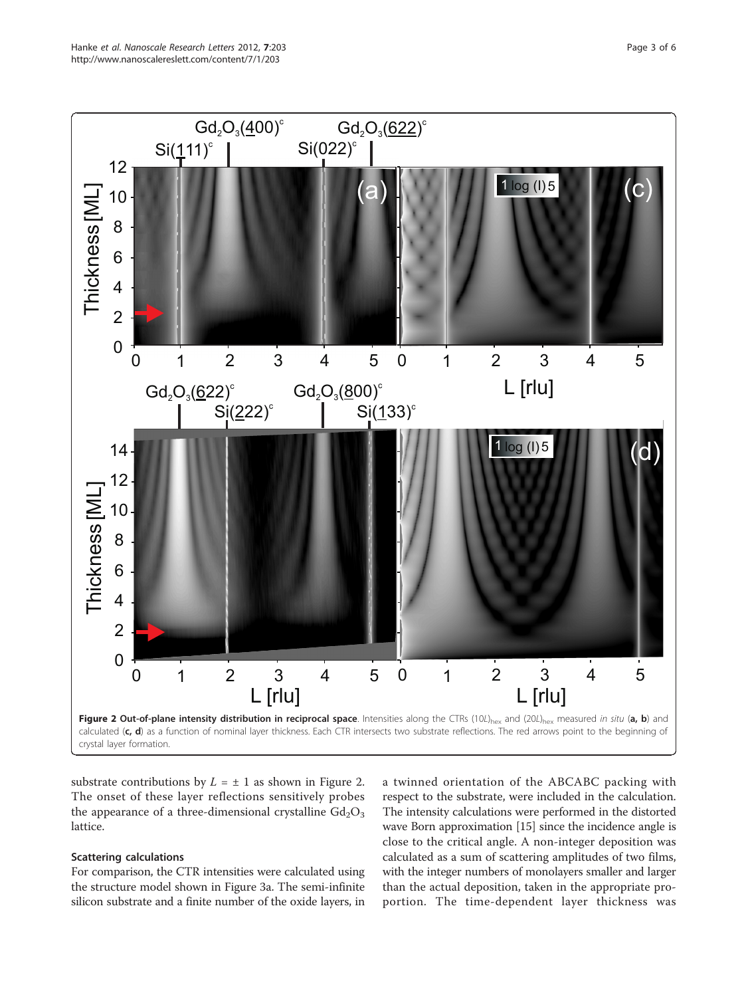<span id="page-2-0"></span>

substrate contributions by  $L = \pm 1$  as shown in Figure 2. The onset of these layer reflections sensitively probes the appearance of a three-dimensional crystalline  $Gd_2O_3$ lattice.

#### Scattering calculations

For comparison, the CTR intensities were calculated using the structure model shown in Figure [3a](#page-3-0). The semi-infinite silicon substrate and a finite number of the oxide layers, in

a twinned orientation of the ABCABC packing with respect to the substrate, were included in the calculation. The intensity calculations were performed in the distorted wave Born approximation [\[15\]](#page-5-0) since the incidence angle is close to the critical angle. A non-integer deposition was calculated as a sum of scattering amplitudes of two films, with the integer numbers of monolayers smaller and larger than the actual deposition, taken in the appropriate proportion. The time-dependent layer thickness was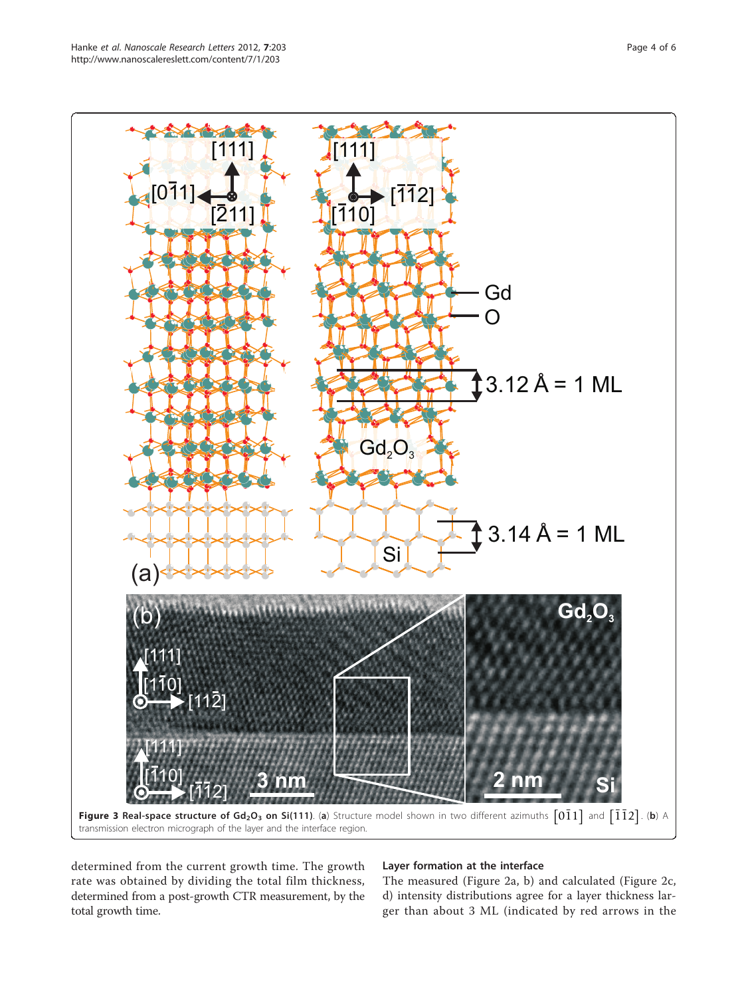<span id="page-3-0"></span>

determined from the current growth time. The growth rate was obtained by dividing the total film thickness, determined from a post-growth CTR measurement, by the total growth time.

# Layer formation at the interface

The measured (Figure [2a, b](#page-2-0)) and calculated (Figure [2c,](#page-2-0) [d](#page-2-0)) intensity distributions agree for a layer thickness larger than about 3 ML (indicated by red arrows in the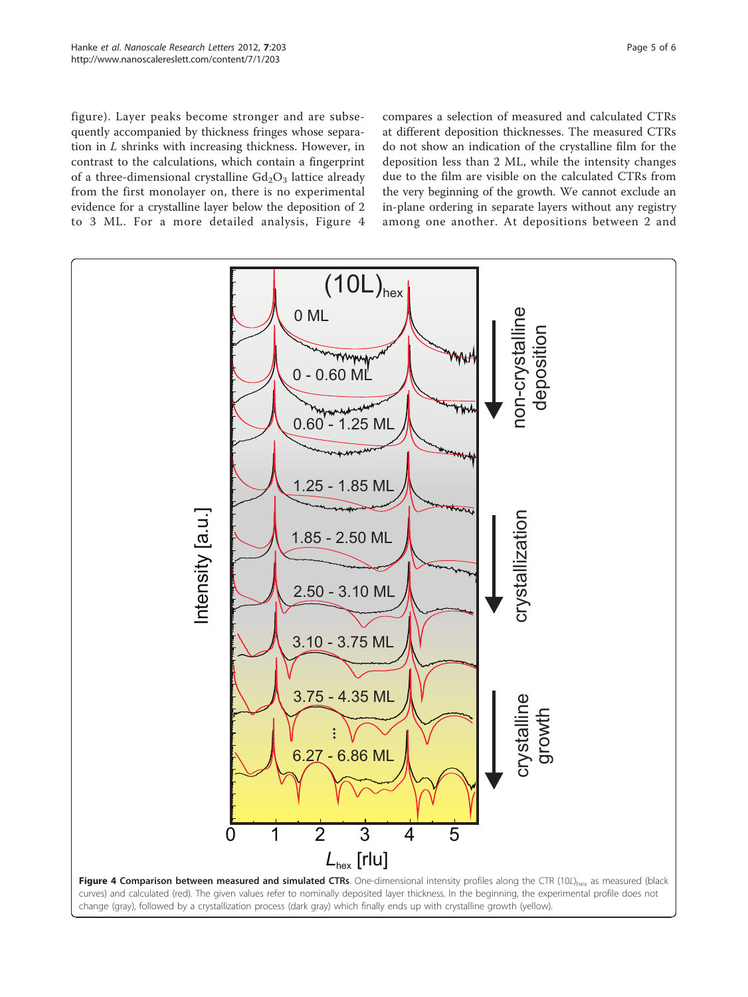figure). Layer peaks become stronger and are subsequently accompanied by thickness fringes whose separation in L shrinks with increasing thickness. However, in contrast to the calculations, which contain a fingerprint of a three-dimensional crystalline  $Gd<sub>2</sub>O<sub>3</sub>$  lattice already from the first monolayer on, there is no experimental evidence for a crystalline layer below the deposition of 2 to 3 ML. For a more detailed analysis, Figure 4 compares a selection of measured and calculated CTRs at different deposition thicknesses. The measured CTRs do not show an indication of the crystalline film for the deposition less than 2 ML, while the intensity changes due to the film are visible on the calculated CTRs from the very beginning of the growth. We cannot exclude an in-plane ordering in separate layers without any registry among one another. At depositions between 2 and